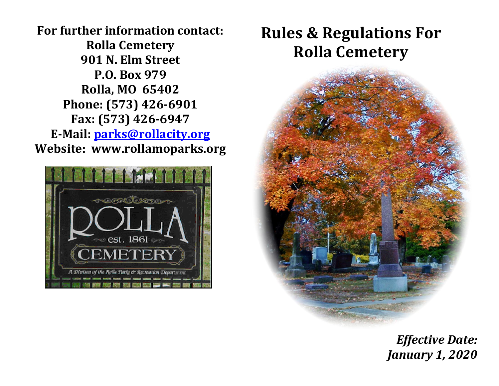**For further information contact: Rolla Cemetery 901 N. Elm Street P.O. Box 979 Rolla, MO 65402 Phone: (573) 426-6901 Fax: (573) 426-6947 E-Mail: [parks@rollacity.org](mailto:parks@rollacity.org) Website: www.rollamoparks.org**



# **Rules & Regulations For Rolla Cemetery**



*Effective Date: January 1, 2020*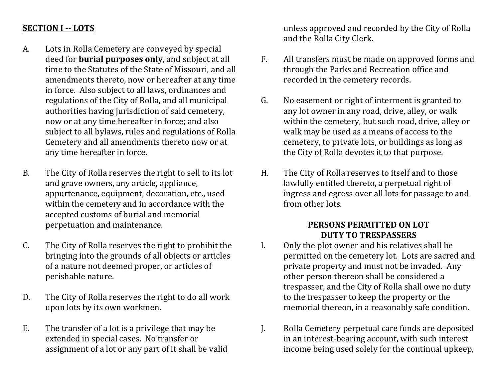### **SECTION I -- LOTS**

- A. Lots in Rolla Cemetery are conveyed by special deed for **burial purposes only**, and subject at all time to the Statutes of the State of Missouri, and all amendments thereto, now or hereafter at any time in force. Also subject to all laws, ordinances and regulations of the City of Rolla, and all municipal authorities having jurisdiction of said cemetery, now or at any time hereafter in force; and also subject to all bylaws, rules and regulations of Rolla Cemetery and all amendments thereto now or at any time hereafter in force.
- B. The City of Rolla reserves the right to sell to its lot and grave owners, any article, appliance, appurtenance, equipment, decoration, etc., used within the cemetery and in accordance with the accepted customs of burial and memorial perpetuation and maintenance.
- C. The City of Rolla reserves the right to prohibit the bringing into the grounds of all objects or articles of a nature not deemed proper, or articles of perishable nature.
- D. The City of Rolla reserves the right to do all work upon lots by its own workmen.
- E. The transfer of a lot is a privilege that may be extended in special cases. No transfer or assignment of a lot or any part of it shall be valid

unless approved and recorded by the City of Rolla and the Rolla City Clerk.

- F. All transfers must be made on approved forms and through the Parks and Recreation office and recorded in the cemetery records.
- G. No easement or right of interment is granted to any lot owner in any road, drive, alley, or walk within the cemetery, but such road, drive, alley or walk may be used as a means of access to the cemetery, to private lots, or buildings as long as the City of Rolla devotes it to that purpose.
- H. The City of Rolla reserves to itself and to those lawfully entitled thereto, a perpetual right of ingress and egress over all lots for passage to and from other lots.

#### **PERSONS PERMITTED ON LOT DUTY TO TRESPASSERS**

- I. Only the plot owner and his relatives shall be permitted on the cemetery lot. Lots are sacred and private property and must not be invaded. Any other person thereon shall be considered a trespasser, and the City of Rolla shall owe no duty to the trespasser to keep the property or the memorial thereon, in a reasonably safe condition.
- J. Rolla Cemetery perpetual care funds are deposited in an interest-bearing account, with such interest income being used solely for the continual upkeep,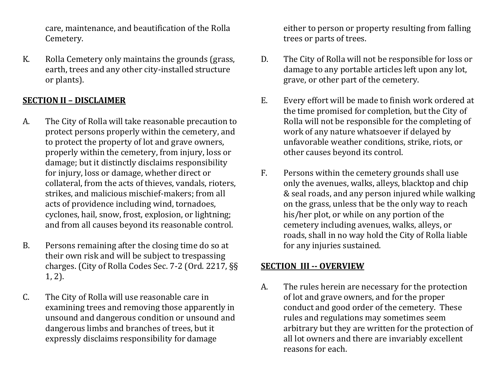care, maintenance, and beautification of the Rolla Cemetery.

K. Rolla Cemetery only maintains the grounds (grass, earth, trees and any other city-installed structure or plants).

# **SECTION II – DISCLAIMER**

- A. The City of Rolla will take reasonable precaution to protect persons properly within the cemetery, and to protect the property of lot and grave owners, properly within the cemetery, from injury, loss or damage; but it distinctly disclaims responsibility for injury, loss or damage, whether direct or collateral, from the acts of thieves, vandals, rioters, strikes, and malicious mischief-makers; from all acts of providence including wind, tornadoes, cyclones, hail, snow, frost, explosion, or lightning; and from all causes beyond its reasonable control.
- B. Persons remaining after the closing time do so at their own risk and will be subject to trespassing charges. (City of Rolla Codes Sec. 7-2 (Ord. 2217, §§ 1, 2).
- C. The City of Rolla will use reasonable care in examining trees and removing those apparently in unsound and dangerous condition or unsound and dangerous limbs and branches of trees, but it expressly disclaims responsibility for damage

either to person or property resulting from falling trees or parts of trees.

- D. The City of Rolla will not be responsible for loss or damage to any portable articles left upon any lot, grave, or other part of the cemetery.
- E. Every effort will be made to finish work ordered at the time promised for completion, but the City of Rolla will not be responsible for the completing of work of any nature whatsoever if delayed by unfavorable weather conditions, strike, riots, or other causes beyond its control.
- F. Persons within the cemetery grounds shall use only the avenues, walks, alleys, blacktop and chip & seal roads, and any person injured while walking on the grass, unless that be the only way to reach his/her plot, or while on any portion of the cemetery including avenues, walks, alleys, or roads, shall in no way hold the City of Rolla liable for any injuries sustained.

# **SECTION III -- OVERVIEW**

A. The rules herein are necessary for the protection of lot and grave owners, and for the proper conduct and good order of the cemetery. These rules and regulations may sometimes seem arbitrary but they are written for the protection of all lot owners and there are invariably excellent reasons for each.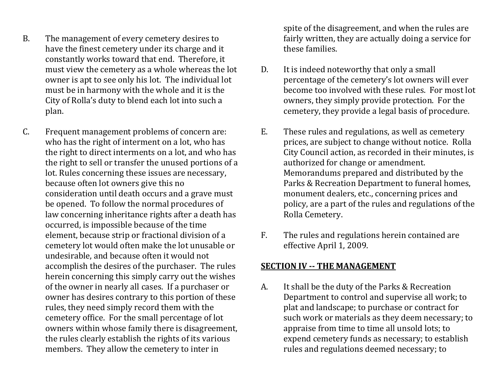- B. The management of every cemetery desires to have the finest cemetery under its charge and it constantly works toward that end. Therefore, it must view the cemetery as a whole whereas the lot owner is apt to see only his lot. The individual lot must be in harmony with the whole and it is the City of Rolla's duty to blend each lot into such a plan.
- C. Frequent management problems of concern are: who has the right of interment on a lot, who has the right to direct interments on a lot, and who has the right to sell or transfer the unused portions of a lot. Rules concerning these issues are necessary, because often lot owners give this no consideration until death occurs and a grave must be opened. To follow the normal procedures of law concerning inheritance rights after a death has occurred, is impossible because of the time element, because strip or fractional division of a cemetery lot would often make the lot unusable or undesirable, and because often it would not accomplish the desires of the purchaser. The rules herein concerning this simply carry out the wishes of the owner in nearly all cases. If a purchaser or owner has desires contrary to this portion of these rules, they need simply record them with the cemetery office. For the small percentage of lot owners within whose family there is disagreement, the rules clearly establish the rights of its various members. They allow the cemetery to inter in

spite of the disagreement, and when the rules are fairly written, they are actually doing a service for these families.

- D. It is indeed noteworthy that only a small percentage of the cemetery's lot owners will ever become too involved with these rules. For most lot owners, they simply provide protection. For the cemetery, they provide a legal basis of procedure.
- E. These rules and regulations, as well as cemetery prices, are subject to change without notice. Rolla City Council action, as recorded in their minutes, is authorized for change or amendment. Memorandums prepared and distributed by the Parks & Recreation Department to funeral homes, monument dealers, etc., concerning prices and policy, are a part of the rules and regulations of the Rolla Cemetery.
- F. The rules and regulations herein contained are effective April 1, 2009.

### **SECTION IV -- THE MANAGEMENT**

A. It shall be the duty of the Parks & Recreation Department to control and supervise all work; to plat and landscape; to purchase or contract for such work or materials as they deem necessary; to appraise from time to time all unsold lots; to expend cemetery funds as necessary; to establish rules and regulations deemed necessary; to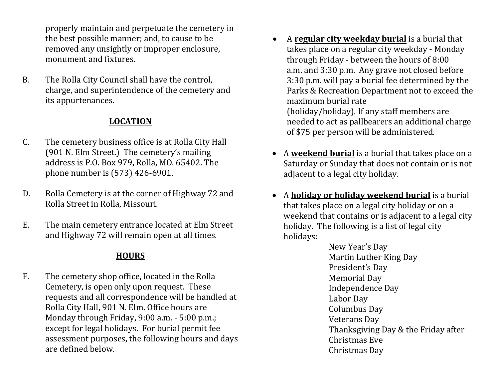properly maintain and perpetuate the cemetery in the best possible manner; and, to cause to be removed any unsightly or improper enclosure, monument and fixtures.

B. The Rolla City Council shall have the control, charge, and superintendence of the cemetery and its appurtenances.

### **LOCATION**

- C. The cemetery business office is at Rolla City Hall (901 N. Elm Street.) The cemetery's mailing address is P.O. Box 979, Rolla, MO. 65402. The phone number is (573) 426-6901.
- D. Rolla Cemetery is at the corner of Highway 72 and Rolla Street in Rolla, Missouri.
- E. The main cemetery entrance located at Elm Street and Highway 72 will remain open at all times.

### **HOURS**

F. The cemetery shop office, located in the Rolla Cemetery, is open only upon request. These requests and all correspondence will be handled at Rolla City Hall, 901 N. Elm. Office hours are Monday through Friday, 9:00 a.m. - 5:00 p.m.; except for legal holidays. For burial permit fee assessment purposes, the following hours and days are defined below.

- A **regular city weekday burial** is a burial that takes place on a regular city weekday - Monday through Friday - between the hours of 8:00 a.m. and 3:30 p.m. Any grave not closed before 3:30 p.m. will pay a burial fee determined by the Parks & Recreation Department not to exceed the maximum burial rate (holiday/holiday). If any staff members are needed to act as pallbearers an additional charge of \$75 per person will be administered.
- A **weekend burial** is a burial that takes place on a Saturday or Sunday that does not contain or is not adjacent to a legal city holiday.
- A **holiday or holiday weekend burial** is a burial that takes place on a legal city holiday or on a weekend that contains or is adjacent to a legal city holiday. The following is a list of legal city holidays:

New Year's Day Martin Luther King Day President's Day Memorial Day Independence Day Labor Day Columbus Day Veterans Day Thanksgiving Day & the Friday after Christmas Eve Christmas Day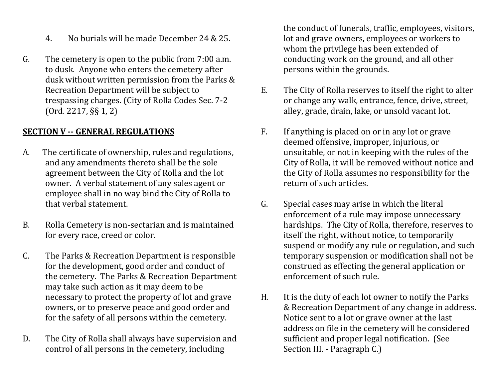- 4. No burials will be made December 24 & 25.
- G. The cemetery is open to the public from 7:00 a.m. to dusk. Anyone who enters the cemetery after dusk without written permission from the Parks & Recreation Department will be subject to trespassing charges. (City of Rolla Codes Sec. 7-2 (Ord. 2217, §§ 1, 2)

### **SECTION V -- GENERAL REGULATIONS**

- A. The certificate of ownership, rules and regulations, and any amendments thereto shall be the sole agreement between the City of Rolla and the lot owner. A verbal statement of any sales agent or employee shall in no way bind the City of Rolla to that verbal statement.
- B. Rolla Cemetery is non-sectarian and is maintained for every race, creed or color.
- C. The Parks & Recreation Department is responsible for the development, good order and conduct of the cemetery. The Parks & Recreation Department may take such action as it may deem to be necessary to protect the property of lot and grave owners, or to preserve peace and good order and for the safety of all persons within the cemetery.
- D. The City of Rolla shall always have supervision and control of all persons in the cemetery, including

the conduct of funerals, traffic, employees, visitors, lot and grave owners, employees or workers to whom the privilege has been extended of conducting work on the ground, and all other persons within the grounds.

- E. The City of Rolla reserves to itself the right to alter or change any walk, entrance, fence, drive, street, alley, grade, drain, lake, or unsold vacant lot.
- F. If anything is placed on or in any lot or grave deemed offensive, improper, injurious, or unsuitable, or not in keeping with the rules of the City of Rolla, it will be removed without notice and the City of Rolla assumes no responsibility for the return of such articles.
- G. Special cases may arise in which the literal enforcement of a rule may impose unnecessary hardships. The City of Rolla, therefore, reserves to itself the right, without notice, to temporarily suspend or modify any rule or regulation, and such temporary suspension or modification shall not be construed as effecting the general application or enforcement of such rule.
- H. It is the duty of each lot owner to notify the Parks & Recreation Department of any change in address. Notice sent to a lot or grave owner at the last address on file in the cemetery will be considered sufficient and proper legal notification. (See Section III. - Paragraph C.)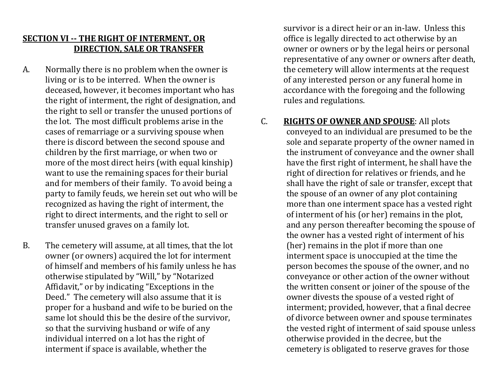# **SECTION VI -- THE RIGHT OF INTERMENT, OR DIRECTION, SALE OR TRANSFER**

- A. Normally there is no problem when the owner is living or is to be interred. When the owner is deceased, however, it becomes important who has the right of interment, the right of designation, and the right to sell or transfer the unused portions of the lot. The most difficult problems arise in the cases of remarriage or a surviving spouse when there is discord between the second spouse and children by the first marriage, or when two or more of the most direct heirs (with equal kinship) want to use the remaining spaces for their burial and for members of their family. To avoid being a party to family feuds, we herein set out who will be recognized as having the right of interment, the right to direct interments, and the right to sell or transfer unused graves on a family lot.
- B. The cemetery will assume, at all times, that the lot owner (or owners) acquired the lot for interment of himself and members of his family unless he has otherwise stipulated by "Will," by "Notarized Affidavit," or by indicating "Exceptions in the Deed." The cemetery will also assume that it is proper for a husband and wife to be buried on the same lot should this be the desire of the survivor, so that the surviving husband or wife of any individual interred on a lot has the right of interment if space is available, whether the

survivor is a direct heir or an in-law. Unless this office is legally directed to act otherwise by an owner or owners or by the legal heirs or personal representative of any owner or owners after death, the cemetery will allow interments at the request of any interested person or any funeral home in accordance with the foregoing and the following rules and regulations.

#### C. **RIGHTS OF OWNER AND SPOUSE**: All plots

conveyed to an individual are presumed to be the sole and separate property of the owner named in the instrument of conveyance and the owner shall have the first right of interment, he shall have the right of direction for relatives or friends, and he shall have the right of sale or transfer, except that the spouse of an owner of any plot containing more than one interment space has a vested right of interment of his (or her) remains in the plot, and any person thereafter becoming the spouse of the owner has a vested right of interment of his (her) remains in the plot if more than one interment space is unoccupied at the time the person becomes the spouse of the owner, and no conveyance or other action of the owner without the written consent or joiner of the spouse of the owner divests the spouse of a vested right of interment; provided, however, that a final decree of divorce between owner and spouse terminates the vested right of interment of said spouse unless otherwise provided in the decree, but the cemetery is obligated to reserve graves for those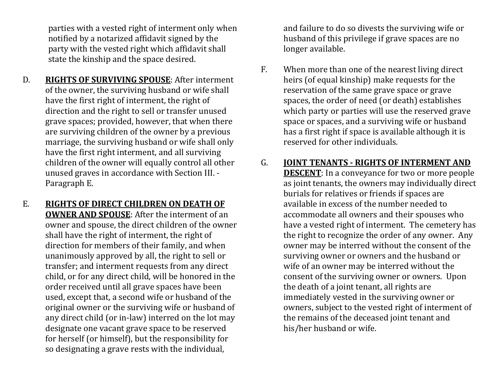parties with a vested right of interment only when notified by a notarized affidavit signed by the party with the vested right which affidavit shall state the kinship and the space desired.

- D. **RIGHTS OF SURVIVING SPOUSE**: After interment of the owner, the surviving husband or wife shall have the first right of interment, the right of direction and the right to sell or transfer unused grave spaces; provided, however, that when there are surviving children of the owner by a previous marriage, the surviving husband or wife shall only have the first right interment, and all surviving children of the owner will equally control all other unused graves in accordance with Section III. - Paragraph E.
- E. **RIGHTS OF DIRECT CHILDREN ON DEATH OF OWNER AND SPOUSE**: After the interment of an owner and spouse, the direct children of the owner shall have the right of interment, the right of direction for members of their family, and when unanimously approved by all, the right to sell or transfer; and interment requests from any direct child, or for any direct child, will be honored in the order received until all grave spaces have been used, except that, a second wife or husband of the original owner or the surviving wife or husband of any direct child (or in-law) interred on the lot may designate one vacant grave space to be reserved for herself (or himself), but the responsibility for so designating a grave rests with the individual,

and failure to do so divests the surviving wife or husband of this privilege if grave spaces are no longer available.

F. When more than one of the nearest living direct heirs (of equal kinship) make requests for the reservation of the same grave space or grave spaces, the order of need (or death) establishes which party or parties will use the reserved grave space or spaces, and a surviving wife or husband has a first right if space is available although it is reserved for other individuals.

# G. **JOINT TENANTS - RIGHTS OF INTERMENT AND**

**DESCENT**: In a conveyance for two or more people as joint tenants, the owners may individually direct burials for relatives or friends if spaces are available in excess of the number needed to accommodate all owners and their spouses who have a vested right of interment. The cemetery has the right to recognize the order of any owner. Any owner may be interred without the consent of the surviving owner or owners and the husband or wife of an owner may be interred without the consent of the surviving owner or owners. Upon the death of a joint tenant, all rights are immediately vested in the surviving owner or owners, subject to the vested right of interment of the remains of the deceased joint tenant and his/her husband or wife.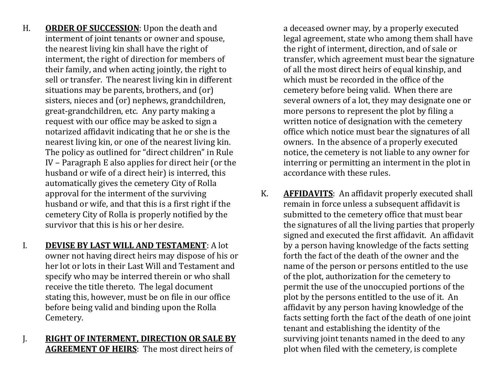- H. **ORDER OF SUCCESSION**: Upon the death and interment of joint tenants or owner and spouse, the nearest living kin shall have the right of interment, the right of direction for members of their family, and when acting jointly, the right to sell or transfer. The nearest living kin in different situations may be parents, brothers, and (or) sisters, nieces and (or) nephews, grandchildren, great-grandchildren, etc. Any party making a request with our office may be asked to sign a notarized affidavit indicating that he or she is the nearest living kin, or one of the nearest living kin. The policy as outlined for "direct children" in Rule IV – Paragraph E also applies for direct heir (or the husband or wife of a direct heir) is interred, this automatically gives the cemetery City of Rolla approval for the interment of the surviving husband or wife, and that this is a first right if the cemetery City of Rolla is properly notified by the survivor that this is his or her desire.
- I. **DEVISE BY LAST WILL AND TESTAMENT**: A lot owner not having direct heirs may dispose of his or her lot or lots in their Last Will and Testament and specify who may be interred therein or who shall receive the title thereto. The legal document stating this, however, must be on file in our office before being valid and binding upon the Rolla Cemetery.
- J. **RIGHT OF INTERMENT, DIRECTION OR SALE BY AGREEMENT OF HEIRS**: The most direct heirs of

a deceased owner may, by a properly executed legal agreement, state who among them shall have the right of interment, direction, and of sale or transfer, which agreement must bear the signature of all the most direct heirs of equal kinship, and which must be recorded in the office of the cemetery before being valid. When there are several owners of a lot, they may designate one or more persons to represent the plot by filing a written notice of designation with the cemetery office which notice must bear the signatures of all owners. In the absence of a properly executed notice, the cemetery is not liable to any owner for interring or permitting an interment in the plot in accordance with these rules.

K. **AFFIDAVITS**: An affidavit properly executed shall remain in force unless a subsequent affidavit is submitted to the cemetery office that must bear the signatures of all the living parties that properly signed and executed the first affidavit. An affidavit by a person having knowledge of the facts setting forth the fact of the death of the owner and the name of the person or persons entitled to the use of the plot, authorization for the cemetery to permit the use of the unoccupied portions of the plot by the persons entitled to the use of it. An affidavit by any person having knowledge of the facts setting forth the fact of the death of one joint tenant and establishing the identity of the surviving joint tenants named in the deed to any plot when filed with the cemetery, is complete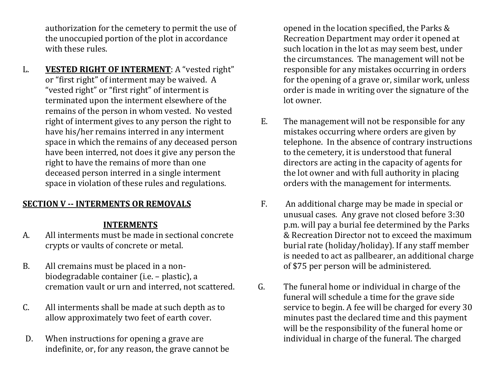authorization for the cemetery to permit the use of the unoccupied portion of the plot in accordance with these rules.

L. **VESTED RIGHT OF INTERMENT**: A "vested right" or "first right" of interment may be waived. A "vested right" or "first right" of interment is terminated upon the interment elsewhere of the remains of the person in whom vested. No vested right of interment gives to any person the right to have his/her remains interred in any interment space in which the remains of any deceased person have been interred, not does it give any person the right to have the remains of more than one deceased person interred in a single interment space in violation of these rules and regulations.

### **SECTION V -- INTERMENTS OR REMOVALS**

#### **INTERMENTS**

- A. All interments must be made in sectional concrete crypts or vaults of concrete or metal.
- B. All cremains must be placed in a nonbiodegradable container (i.e. – plastic), a cremation vault or urn and interred, not scattered.
- C. All interments shall be made at such depth as to allow approximately two feet of earth cover.
- D. When instructions for opening a grave are indefinite, or, for any reason, the grave cannot be

opened in the location specified, the Parks & Recreation Department may order it opened at such location in the lot as may seem best, under the circumstances. The management will not be responsible for any mistakes occurring in orders for the opening of a grave or, similar work, unless order is made in writing over the signature of the lot owner.

- E. The management will not be responsible for any mistakes occurring where orders are given by telephone. In the absence of contrary instructions to the cemetery, it is understood that funeral directors are acting in the capacity of agents for the lot owner and with full authority in placing orders with the management for interments.
- F. An additional charge may be made in special or unusual cases. Any grave not closed before 3:30 p.m. will pay a burial fee determined by the Parks & Recreation Director not to exceed the maximum burial rate (holiday/holiday). If any staff member is needed to act as pallbearer, an additional charge of \$75 per person will be administered.
- G. The funeral home or individual in charge of the funeral will schedule a time for the grave side service to begin. A fee will be charged for every 30 minutes past the declared time and this payment will be the responsibility of the funeral home or individual in charge of the funeral. The charged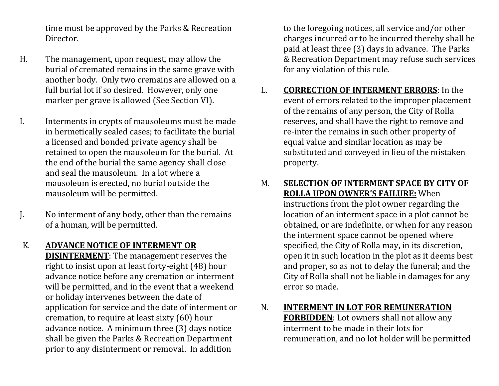time must be approved by the Parks & Recreation Director.

- H. The management, upon request, may allow the burial of cremated remains in the same grave with another body. Only two cremains are allowed on a full burial lot if so desired. However, only one marker per grave is allowed (See Section VI).
- I. Interments in crypts of mausoleums must be made in hermetically sealed cases; to facilitate the burial a licensed and bonded private agency shall be retained to open the mausoleum for the burial. At the end of the burial the same agency shall close and seal the mausoleum. In a lot where a mausoleum is erected, no burial outside the mausoleum will be permitted.
- J. No interment of any body, other than the remains of a human, will be permitted.
- K. **ADVANCE NOTICE OF INTERMENT OR DISINTERMENT**: The management reserves the right to insist upon at least forty-eight (48) hour advance notice before any cremation or interment will be permitted, and in the event that a weekend or holiday intervenes between the date of application for service and the date of interment or cremation, to require at least sixty (60) hour advance notice. A minimum three (3) days notice shall be given the Parks & Recreation Department prior to any disinterment or removal. In addition

to the foregoing notices, all service and/or other charges incurred or to be incurred thereby shall be paid at least three (3) days in advance. The Parks & Recreation Department may refuse such services for any violation of this rule.

L. **CORRECTION OF INTERMENT ERRORS**: In the event of errors related to the improper placement of the remains of any person, the City of Rolla reserves, and shall have the right to remove and re-inter the remains in such other property of equal value and similar location as may be substituted and conveyed in lieu of the mistaken property.

### M. **SELECTION OF INTERMENT SPACE BY CITY OF ROLLA UPON OWNER'S FAILURE:** When instructions from the plot owner regarding the location of an interment space in a plot cannot be obtained, or are indefinite, or when for any reason the interment space cannot be opened where specified, the City of Rolla may, in its discretion, open it in such location in the plot as it deems best and proper, so as not to delay the funeral; and the City of Rolla shall not be liable in damages for any error so made.

N. **INTERMENT IN LOT FOR REMUNERATION FORBIDDEN**: Lot owners shall not allow any interment to be made in their lots for remuneration, and no lot holder will be permitted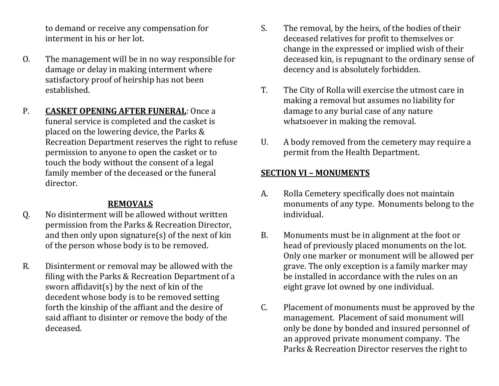to demand or receive any compensation for interment in his or her lot.

- O. The management will be in no way responsible for damage or delay in making interment where satisfactory proof of heirship has not been established.
- P. **CASKET OPENING AFTER FUNERAL**: Once a funeral service is completed and the casket is placed on the lowering device, the Parks & Recreation Department reserves the right to refuse permission to anyone to open the casket or to touch the body without the consent of a legal family member of the deceased or the funeral director.

### **REMOVALS**

- Q. No disinterment will be allowed without written permission from the Parks & Recreation Director, and then only upon signature(s) of the next of kin of the person whose body is to be removed.
- R. Disinterment or removal may be allowed with the filing with the Parks & Recreation Department of a sworn affidavit(s) by the next of kin of the decedent whose body is to be removed setting forth the kinship of the affiant and the desire of said affiant to disinter or remove the body of the deceased.
- S. The removal, by the heirs, of the bodies of their deceased relatives for profit to themselves or change in the expressed or implied wish of their deceased kin, is repugnant to the ordinary sense of decency and is absolutely forbidden.
- T. The City of Rolla will exercise the utmost care in making a removal but assumes no liability for damage to any burial case of any nature whatsoever in making the removal.
- U. A body removed from the cemetery may require a permit from the Health Department.

# **SECTION VI – MONUMENTS**

- A. Rolla Cemetery specifically does not maintain monuments of any type. Monuments belong to the individual.
- B. Monuments must be in alignment at the foot or head of previously placed monuments on the lot. Only one marker or monument will be allowed per grave. The only exception is a family marker may be installed in accordance with the rules on an eight grave lot owned by one individual.
- C. Placement of monuments must be approved by the management. Placement of said monument will only be done by bonded and insured personnel of an approved private monument company. The Parks & Recreation Director reserves the right to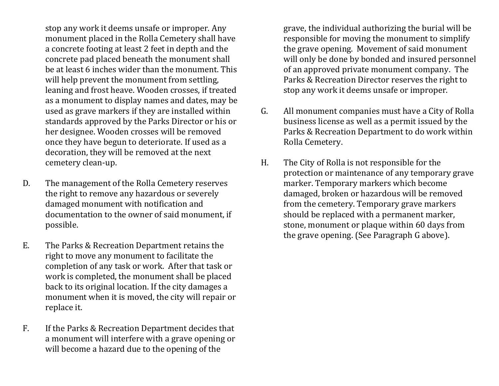stop any work it deems unsafe or improper. Any monument placed in the Rolla Cemetery shall have a concrete footing at least 2 feet in depth and the concrete pad placed beneath the monument shall be at least 6 inches wider than the monument. This will help prevent the monument from settling, leaning and frost heave. Wooden crosses, if treated as a monument to display names and dates, may be used as grave markers if they are installed within standards approved by the Parks Director or his or her designee. Wooden crosses will be removed once they have begun to deteriorate. If used as a decoration, they will be removed at the next cemetery clean-up.

- D. The management of the Rolla Cemetery reserves the right to remove any hazardous or severely damaged monument with notification and documentation to the owner of said monument, if possible.
- E. The Parks & Recreation Department retains the right to move any monument to facilitate the completion of any task or work. After that task or work is completed, the monument shall be placed back to its original location. If the city damages a monument when it is moved, the city will repair or replace it.
- F. If the Parks & Recreation Department decides that a monument will interfere with a grave opening or will become a hazard due to the opening of the

grave, the individual authorizing the burial will be responsible for moving the monument to simplify the grave opening. Movement of said monument will only be done by bonded and insured personnel of an approved private monument company. The Parks & Recreation Director reserves the right to stop any work it deems unsafe or improper.

- G. All monument companies must have a City of Rolla business license as well as a permit issued by the Parks & Recreation Department to do work within Rolla Cemetery.
- H. The City of Rolla is not responsible for the protection or maintenance of any temporary grave marker. Temporary markers which become damaged, broken or hazardous will be removed from the cemetery. Temporary grave markers should be replaced with a permanent marker, stone, monument or plaque within 60 days from the grave opening. (See Paragraph G above).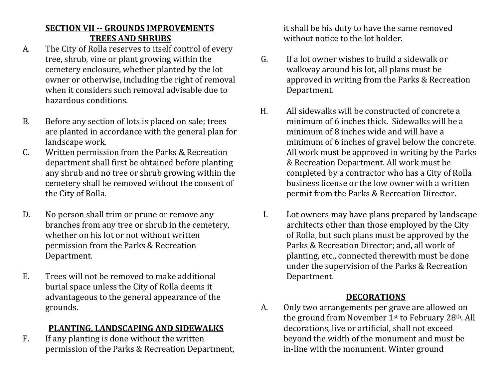# **SECTION VII -- GROUNDS IMPROVEMENTS TREES AND SHRUBS**

- A. The City of Rolla reserves to itself control of every tree, shrub, vine or plant growing within the cemetery enclosure, whether planted by the lot owner or otherwise, including the right of removal when it considers such removal advisable due to hazardous conditions.
- B. Before any section of lots is placed on sale; trees are planted in accordance with the general plan for landscape work.
- C. Written permission from the Parks & Recreation department shall first be obtained before planting any shrub and no tree or shrub growing within the cemetery shall be removed without the consent of the City of Rolla.
- D. No person shall trim or prune or remove any branches from any tree or shrub in the cemetery, whether on his lot or not without written permission from the Parks & Recreation Department.
- E. Trees will not be removed to make additional burial space unless the City of Rolla deems it advantageous to the general appearance of the grounds.

# **PLANTING, LANDSCAPING AND SIDEWALKS**

F. If any planting is done without the written permission of the Parks & Recreation Department, it shall be his duty to have the same removed without notice to the lot holder.

- G. If a lot owner wishes to build a sidewalk or walkway around his lot, all plans must be approved in writing from the Parks & Recreation Department.
- H. All sidewalks will be constructed of concrete a minimum of 6 inches thick. Sidewalks will be a minimum of 8 inches wide and will have a minimum of 6 inches of gravel below the concrete. All work must be approved in writing by the Parks & Recreation Department. All work must be completed by a contractor who has a City of Rolla business license or the low owner with a written permit from the Parks & Recreation Director.
- I. Lot owners may have plans prepared by landscape architects other than those employed by the City of Rolla, but such plans must be approved by the Parks & Recreation Director; and, all work of planting, etc., connected therewith must be done under the supervision of the Parks & Recreation Department.

### **DECORATIONS**

A. Only two arrangements per grave are allowed on the ground from November 1st to February 28th. All decorations, live or artificial, shall not exceed beyond the width of the monument and must be in-line with the monument. Winter ground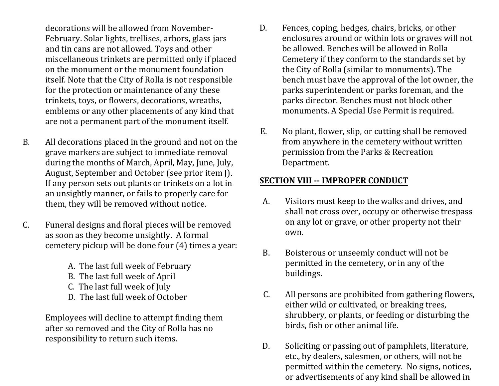decorations will be allowed from November-February. Solar lights, trellises, arbors, glass jars and tin cans are not allowed. Toys and other miscellaneous trinkets are permitted only if placed on the monument or the monument foundation itself. Note that the City of Rolla is not responsible for the protection or maintenance of any these trinkets, toys, or flowers, decorations, wreaths, emblems or any other placements of any kind that are not a permanent part of the monument itself.

- B. All decorations placed in the ground and not on the grave markers are subject to immediate removal during the months of March, April, May, June, July, August, September and October (see prior item J). If any person sets out plants or trinkets on a lot in an unsightly manner, or fails to properly care for them, they will be removed without notice.
- C. Funeral designs and floral pieces will be removed as soon as they become unsightly. A formal cemetery pickup will be done four (4) times a year:
	- A. The last full week of February
	- B. The last full week of April
	- C. The last full week of July
	- D. The last full week of October

Employees will decline to attempt finding them after so removed and the City of Rolla has no responsibility to return such items.

- D. Fences, coping, hedges, chairs, bricks, or other enclosures around or within lots or graves will not be allowed. Benches will be allowed in Rolla Cemetery if they conform to the standards set by the City of Rolla (similar to monuments). The bench must have the approval of the lot owner, the parks superintendent or parks foreman, and the parks director. Benches must not block other monuments. A Special Use Permit is required.
- E. No plant, flower, slip, or cutting shall be removed from anywhere in the cemetery without written permission from the Parks & Recreation Department.

### **SECTION VIII -- IMPROPER CONDUCT**

- A. Visitors must keep to the walks and drives, and shall not cross over, occupy or otherwise trespass on any lot or grave, or other property not their own.
- B. Boisterous or unseemly conduct will not be permitted in the cemetery, or in any of the buildings.
- C. All persons are prohibited from gathering flowers, either wild or cultivated, or breaking trees, shrubbery, or plants, or feeding or disturbing the birds, fish or other animal life.
- D. Soliciting or passing out of pamphlets, literature, etc., by dealers, salesmen, or others, will not be permitted within the cemetery. No signs, notices, or advertisements of any kind shall be allowed in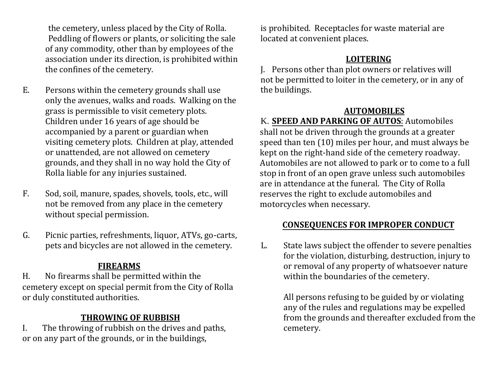the cemetery, unless placed by the City of Rolla. Peddling of flowers or plants, or soliciting the sale of any commodity, other than by employees of the association under its direction, is prohibited within the confines of the cemetery.

- E. Persons within the cemetery grounds shall use only the avenues, walks and roads. Walking on the grass is permissible to visit cemetery plots. Children under 16 years of age should be accompanied by a parent or guardian when visiting cemetery plots. Children at play, attended or unattended, are not allowed on cemetery grounds, and they shall in no way hold the City of Rolla liable for any injuries sustained.
- F. Sod, soil, manure, spades, shovels, tools, etc., will not be removed from any place in the cemetery without special permission.
- G. Picnic parties, refreshments, liquor, ATVs, go-carts, pets and bicycles are not allowed in the cemetery.

# **FIREARMS**

H. No firearms shall be permitted within the cemetery except on special permit from the City of Rolla or duly constituted authorities.

# **THROWING OF RUBBISH**

I. The throwing of rubbish on the drives and paths, or on any part of the grounds, or in the buildings,

is prohibited. Receptacles for waste material are located at convenient places.

# **LOITERING**

J. Persons other than plot owners or relatives will not be permitted to loiter in the cemetery, or in any of the buildings.

# **AUTOMOBILES**

K. **SPEED AND PARKING OF AUTOS**: Automobiles shall not be driven through the grounds at a greater speed than ten (10) miles per hour, and must always be kept on the right-hand side of the cemetery roadway. Automobiles are not allowed to park or to come to a full stop in front of an open grave unless such automobiles are in attendance at the funeral. The City of Rolla reserves the right to exclude automobiles and motorcycles when necessary.

# **CONSEQUENCES FOR IMPROPER CONDUCT**

L. State laws subject the offender to severe penalties for the violation, disturbing, destruction, injury to or removal of any property of whatsoever nature within the boundaries of the cemetery.

> All persons refusing to be guided by or violating any of the rules and regulations may be expelled from the grounds and thereafter excluded from the cemetery.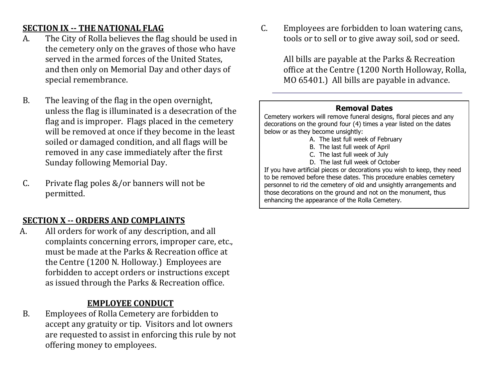# **SECTION IX -- THE NATIONAL FLAG**

- A. The City of Rolla believes the flag should be used in the cemetery only on the graves of those who have served in the armed forces of the United States, and then only on Memorial Day and other days of special remembrance.
- B. The leaving of the flag in the open overnight, unless the flag is illuminated is a desecration of the flag and is improper. Flags placed in the cemetery will be removed at once if they become in the least soiled or damaged condition, and all flags will be removed in any case immediately after the first Sunday following Memorial Day.
- C. Private flag poles &/or banners will not be permitted.

# **SECTION X -- ORDERS AND COMPLAINTS**

A. All orders for work of any description, and all complaints concerning errors, improper care, etc., must be made at the Parks & Recreation office at the Centre (1200 N. Holloway.) Employees are forbidden to accept orders or instructions except as issued through the Parks & Recreation office.

# **EMPLOYEE CONDUCT**

B. Employees of Rolla Cemetery are forbidden to accept any gratuity or tip. Visitors and lot owners are requested to assist in enforcing this rule by not offering money to employees.

C. Employees are forbidden to loan watering cans, tools or to sell or to give away soil, sod or seed.

> All bills are payable at the Parks & Recreation office at the Centre (1200 North Holloway, Rolla, MO 65401.) All bills are payable in advance.

#### **Removal Dates**

Cemetery workers will remove funeral designs, floral pieces and any decorations on the ground four (4) times a year listed on the dates below or as they become unsightly:

- A. The last full week of February
- B. The last full week of April
- C. The last full week of July
- D. The last full week of October

If you have artificial pieces or decorations you wish to keep, they need to be removed before these dates. This procedure enables cemetery personnel to rid the cemetery of old and unsightly arrangements and those decorations on the ground and not on the monument, thus enhancing the appearance of the Rolla Cemetery.